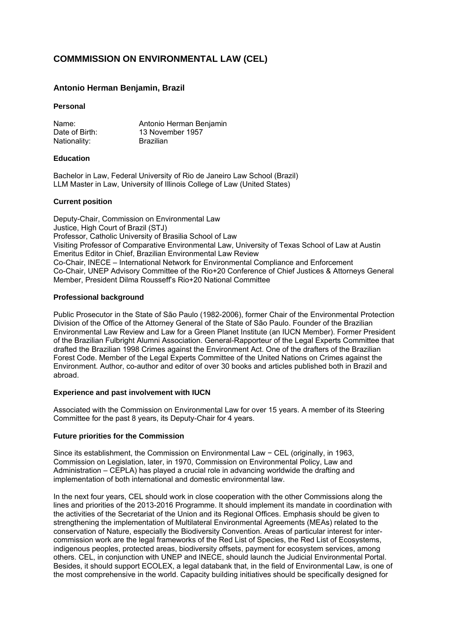# **COMMMISSION ON ENVIRONMENTAL LAW (CEL)**

# **Antonio Herman Benjamin, Brazil**

### **Personal**

| Name:          | Antonio Herman Benjamin |
|----------------|-------------------------|
| Date of Birth: | 13 November 1957        |
| Nationality:   | <b>Brazilian</b>        |

#### **Education**

Bachelor in Law, Federal University of Rio de Janeiro Law School (Brazil) LLM Master in Law, University of Illinois College of Law (United States)

#### **Current position**

Deputy-Chair, Commission on Environmental Law Justice, High Court of Brazil (STJ) Professor, Catholic University of Brasilia School of Law Visiting Professor of Comparative Environmental Law, University of Texas School of Law at Austin Emeritus Editor in Chief, Brazilian Environmental Law Review Co-Chair, INECE – International Network for Environmental Compliance and Enforcement Co-Chair, UNEP Advisory Committee of the Rio+20 Conference of Chief Justices & Attorneys General Member, President Dilma Rousseff's Rio+20 National Committee

# **Professional background**

Public Prosecutor in the State of São Paulo (1982-2006), former Chair of the Environmental Protection Division of the Office of the Attorney General of the State of São Paulo. Founder of the Brazilian Environmental Law Review and Law for a Green Planet Institute (an IUCN Member). Former President of the Brazilian Fulbright Alumni Association. General-Rapporteur of the Legal Experts Committee that drafted the Brazilian 1998 Crimes against the Environment Act. One of the drafters of the Brazilian Forest Code. Member of the Legal Experts Committee of the United Nations on Crimes against the Environment. Author, co-author and editor of over 30 books and articles published both in Brazil and abroad.

# **Experience and past involvement with IUCN**

Associated with the Commission on Environmental Law for over 15 years. A member of its Steering Committee for the past 8 years, its Deputy-Chair for 4 years.

# **Future priorities for the Commission**

Since its establishment, the Commission on Environmental Law − CEL (originally, in 1963, Commission on Legislation, later, in 1970, Commission on Environmental Policy, Law and Administration – CEPLA) has played a crucial role in advancing worldwide the drafting and implementation of both international and domestic environmental law.

In the next four years, CEL should work in close cooperation with the other Commissions along the lines and priorities of the 2013-2016 Programme. It should implement its mandate in coordination with the activities of the Secretariat of the Union and its Regional Offices. Emphasis should be given to strengthening the implementation of Multilateral Environmental Agreements (MEAs) related to the conservation of Nature, especially the Biodiversity Convention. Areas of particular interest for intercommission work are the legal frameworks of the Red List of Species, the Red List of Ecosystems, indigenous peoples, protected areas, biodiversity offsets, payment for ecosystem services, among others. CEL, in conjunction with UNEP and INECE, should launch the Judicial Environmental Portal. Besides, it should support ECOLEX, a legal databank that, in the field of Environmental Law, is one of the most comprehensive in the world. Capacity building initiatives should be specifically designed for